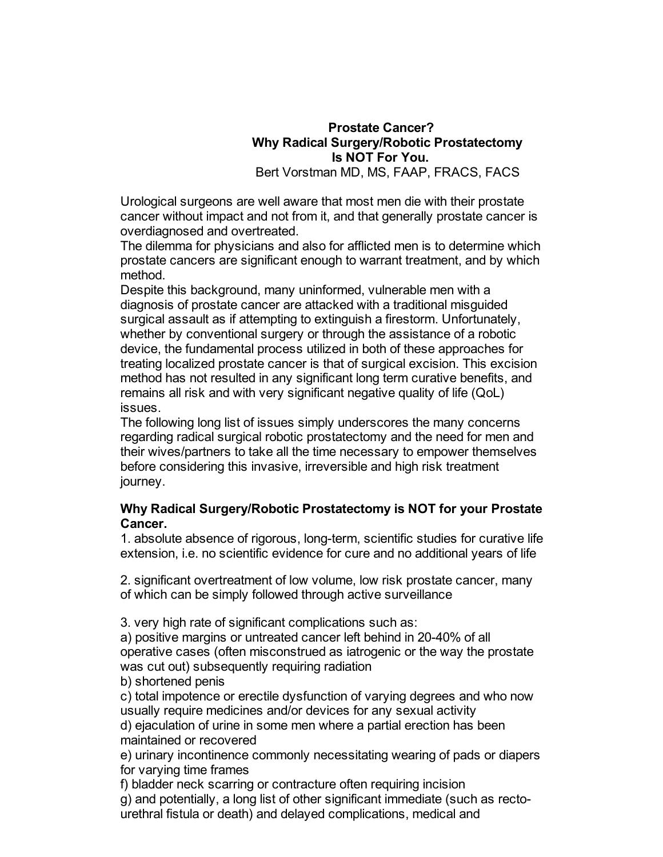# **Prostate Cancer? Why Radical Surgery/Robotic Prostatectomy Is NOT For You.**

Bert Vorstman MD, MS, FAAP, FRACS, FACS

Urological surgeons are well aware that most men die with their prostate cancer without impact and not from it, and that generally prostate cancer is overdiagnosed and overtreated.

The dilemma for physicians and also for afflicted men is to determine which prostate cancers are significant enough to warrant treatment, and by which method.

Despite this background, many uninformed, vulnerable men with a diagnosis of prostate cancer are attacked with a traditional misguided surgical assault as if attempting to extinguish a firestorm. Unfortunately, whether by conventional surgery or through the assistance of a robotic device, the fundamental process utilized in both of these approaches for treating localized prostate cancer is that of surgical excision. This excision method has not resulted in any significant long term curative benefits, and remains all risk and with very significant negative quality of life (QoL) issues.

The following long list of issues simply underscores the many concerns regarding radical surgical robotic prostatectomy and the need for men and their wives/partners to take all the time necessary to empower themselves before considering this invasive, irreversible and high risk treatment journey.

### **Why Radical Surgery/Robotic Prostatectomy is NOT for your Prostate Cancer.**

1. absolute absence of rigorous, long-term, scientific studies for curative life extension, i.e. no scientific evidence for cure and no additional years of life

2. significant overtreatment of low volume, low risk prostate cancer, many of which can be simply followed through active surveillance

3. very high rate of significant complications such as:

a) positive margins or untreated cancer left behind in 20-40% of all operative cases (often misconstrued as iatrogenic or the way the prostate was cut out) subsequently requiring radiation

b) shortened penis

c) total impotence or erectile dysfunction of varying degrees and who now usually require medicines and/or devices for any sexual activity

d) ejaculation of urine in some men where a partial erection has been maintained or recovered

e) urinary incontinence commonly necessitating wearing of pads or diapers for varying time frames

f) bladder neck scarring or contracture often requiring incision g) and potentially, a long list of other significant immediate (such as rectourethral fistula or death) and delayed complications, medical and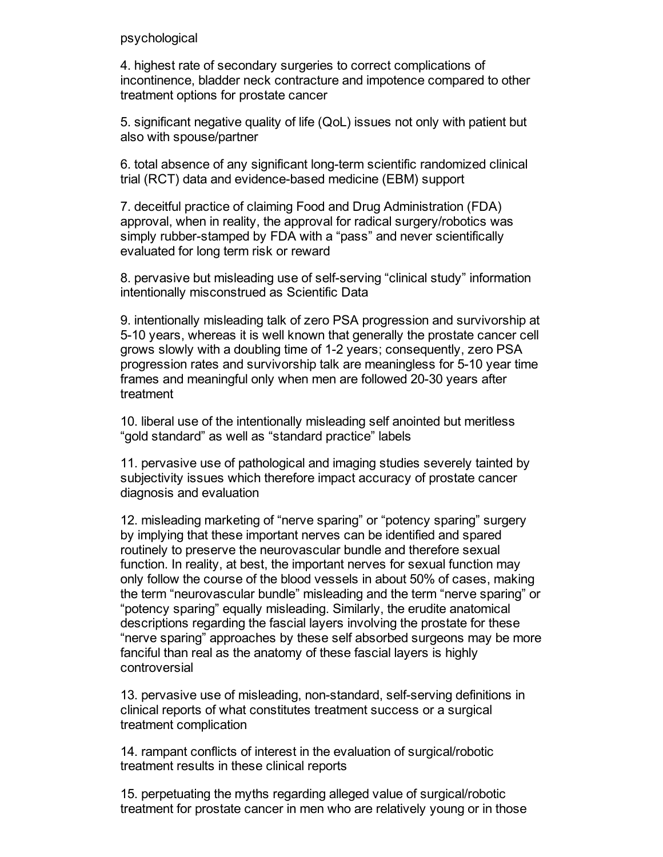#### psychological

4. highest rate of secondary surgeries to correct complications of incontinence, bladder neck contracture and impotence compared to other treatment options for prostate cancer

5. significant negative quality of life (QoL) issues not only with patient but also with spouse/partner

6. total absence of any significant long-term scientific randomized clinical trial (RCT) data and evidence-based medicine (EBM) support

7. deceitful practice of claiming Food and Drug Administration (FDA) approval, when in reality, the approval for radical surgery/robotics was simply rubber-stamped by FDA with a "pass" and never scientifically evaluated for long term risk or reward

8. pervasive but misleading use of self-serving "clinical study" information intentionally misconstrued as Scientific Data

9. intentionally misleading talk of zero PSA progression and survivorship at 510 years, whereas it is well known that generally the prostate cancer cell grows slowly with a doubling time of 12 years; consequently, zero PSA progression rates and survivorship talk are meaningless for 510 year time frames and meaningful only when men are followed 20-30 years after treatment

10. liberal use of the intentionally misleading self anointed but meritless "gold standard" as well as "standard practice" labels

11. pervasive use of pathological and imaging studies severely tainted by subjectivity issues which therefore impact accuracy of prostate cancer diagnosis and evaluation

12. misleading marketing of "nerve sparing" or "potency sparing" surgery by implying that these important nerves can be identified and spared routinely to preserve the neurovascular bundle and therefore sexual function. In reality, at best, the important nerves for sexual function may only follow the course of the blood vessels in about 50% of cases, making the term "neurovascular bundle" misleading and the term "nerve sparing" or "potency sparing" equally misleading. Similarly, the erudite anatomical descriptions regarding the fascial layers involving the prostate for these "nerve sparing" approaches by these self absorbed surgeons may be more fanciful than real as the anatomy of these fascial layers is highly controversial

13. pervasive use of misleading, non-standard, self-serving definitions in clinical reports of what constitutes treatment success or a surgical treatment complication

14. rampant conflicts of interest in the evaluation of surgical/robotic treatment results in these clinical reports

15. perpetuating the myths regarding alleged value of surgical/robotic treatment for prostate cancer in men who are relatively young or in those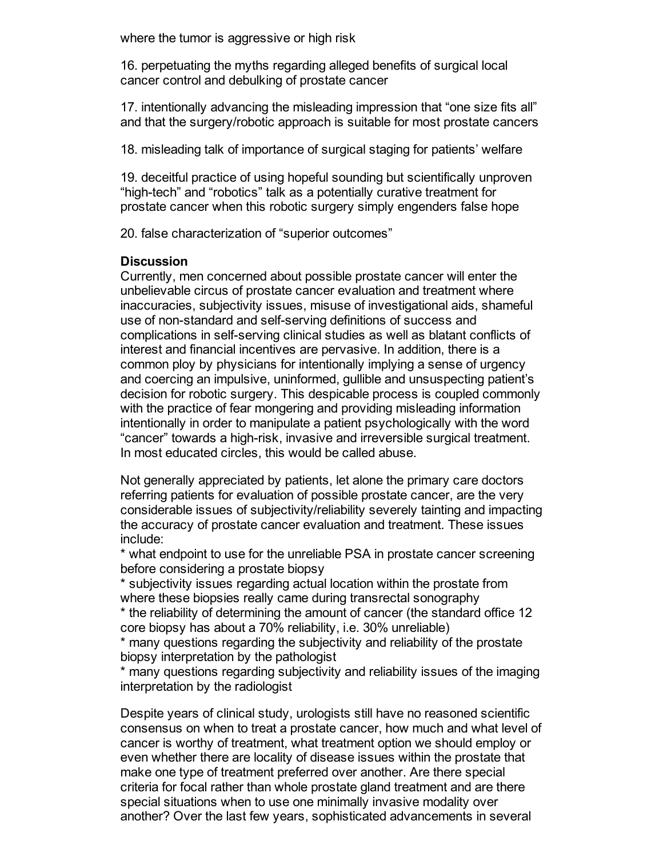where the tumor is aggressive or high risk

16. perpetuating the myths regarding alleged benefits of surgical local cancer control and debulking of prostate cancer

17. intentionally advancing the misleading impression that "one size fits all" and that the surgery/robotic approach is suitable for most prostate cancers

18. misleading talk of importance of surgical staging for patients' welfare

19. deceitful practice of using hopeful sounding but scientifically unproven "high-tech" and "robotics" talk as a potentially curative treatment for prostate cancer when this robotic surgery simply engenders false hope

20. false characterization of "superior outcomes"

# **Discussion**

Currently, men concerned about possible prostate cancer will enter the unbelievable circus of prostate cancer evaluation and treatment where inaccuracies, subjectivity issues, misuse of investigational aids, shameful use of non-standard and self-serving definitions of success and complications in self-serving clinical studies as well as blatant conflicts of interest and financial incentives are pervasive. In addition, there is a common ploy by physicians for intentionally implying a sense of urgency and coercing an impulsive, uninformed, gullible and unsuspecting patient's decision for robotic surgery. This despicable process is coupled commonly with the practice of fear mongering and providing misleading information intentionally in order to manipulate a patient psychologically with the word "cancer" towards a high-risk, invasive and irreversible surgical treatment. In most educated circles, this would be called abuse.

Not generally appreciated by patients, let alone the primary care doctors referring patients for evaluation of possible prostate cancer, are the very considerable issues of subjectivity/reliability severely tainting and impacting the accuracy of prostate cancer evaluation and treatment. These issues include:

\* what endpoint to use for the unreliable PSA in prostate cancer screening before considering a prostate biopsy

\* subjectivity issues regarding actual location within the prostate from where these biopsies really came during transrectal sonography

\* the reliability of determining the amount of cancer (the standard office 12 core biopsy has about a 70% reliability, i.e. 30% unreliable)

\* many questions regarding the subjectivity and reliability of the prostate biopsy interpretation by the pathologist

\* many questions regarding subjectivity and reliability issues of the imaging interpretation by the radiologist

Despite years of clinical study, urologists still have no reasoned scientific consensus on when to treat a prostate cancer, how much and what level of cancer is worthy of treatment, what treatment option we should employ or even whether there are locality of disease issues within the prostate that make one type of treatment preferred over another. Are there special criteria for focal rather than whole prostate gland treatment and are there special situations when to use one minimally invasive modality over another? Over the last few years, sophisticated advancements in several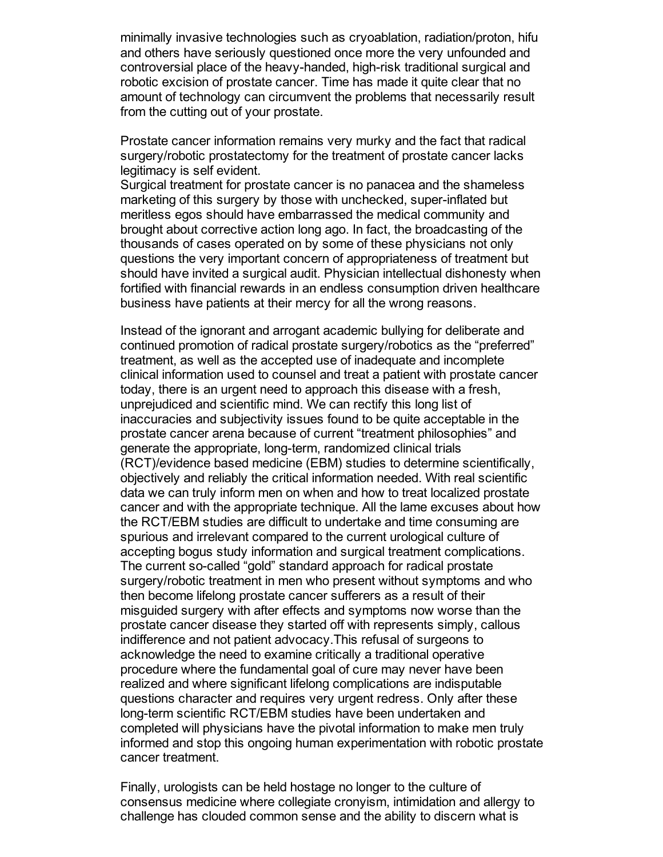minimally invasive technologies such as cryoablation, radiation/proton, hifu and others have seriously questioned once more the very unfounded and controversial place of the heavy-handed, high-risk traditional surgical and robotic excision of prostate cancer. Time has made it quite clear that no amount of technology can circumvent the problems that necessarily result from the cutting out of your prostate.

Prostate cancer information remains very murky and the fact that radical surgery/robotic prostatectomy for the treatment of prostate cancer lacks legitimacy is self evident.

Surgical treatment for prostate cancer is no panacea and the shameless marketing of this surgery by those with unchecked, super-inflated but meritless egos should have embarrassed the medical community and brought about corrective action long ago. In fact, the broadcasting of the thousands of cases operated on by some of these physicians not only questions the very important concern of appropriateness of treatment but should have invited a surgical audit. Physician intellectual dishonesty when fortified with financial rewards in an endless consumption driven healthcare business have patients at their mercy for all the wrong reasons.

Instead of the ignorant and arrogant academic bullying for deliberate and continued promotion of radical prostate surgery/robotics as the "preferred" treatment, as well as the accepted use of inadequate and incomplete clinical information used to counsel and treat a patient with prostate cancer today, there is an urgent need to approach this disease with a fresh, unprejudiced and scientific mind. We can rectify this long list of inaccuracies and subjectivity issues found to be quite acceptable in the prostate cancer arena because of current "treatment philosophies" and generate the appropriate, long-term, randomized clinical trials (RCT)/evidence based medicine (EBM) studies to determine scientifically, objectively and reliably the critical information needed. With real scientific data we can truly inform men on when and how to treat localized prostate cancer and with the appropriate technique. All the lame excuses about how the RCT/EBM studies are difficult to undertake and time consuming are spurious and irrelevant compared to the current urological culture of accepting bogus study information and surgical treatment complications. The current so-called "gold" standard approach for radical prostate surgery/robotic treatment in men who present without symptoms and who then become lifelong prostate cancer sufferers as a result of their misguided surgery with after effects and symptoms now worse than the prostate cancer disease they started off with represents simply, callous indifference and not patient advocacy.This refusal of surgeons to acknowledge the need to examine critically a traditional operative procedure where the fundamental goal of cure may never have been realized and where significant lifelong complications are indisputable questions character and requires very urgent redress. Only after these long-term scientific RCT/EBM studies have been undertaken and completed will physicians have the pivotal information to make men truly informed and stop this ongoing human experimentation with robotic prostate cancer treatment.

Finally, urologists can be held hostage no longer to the culture of consensus medicine where collegiate cronyism, intimidation and allergy to challenge has clouded common sense and the ability to discern what is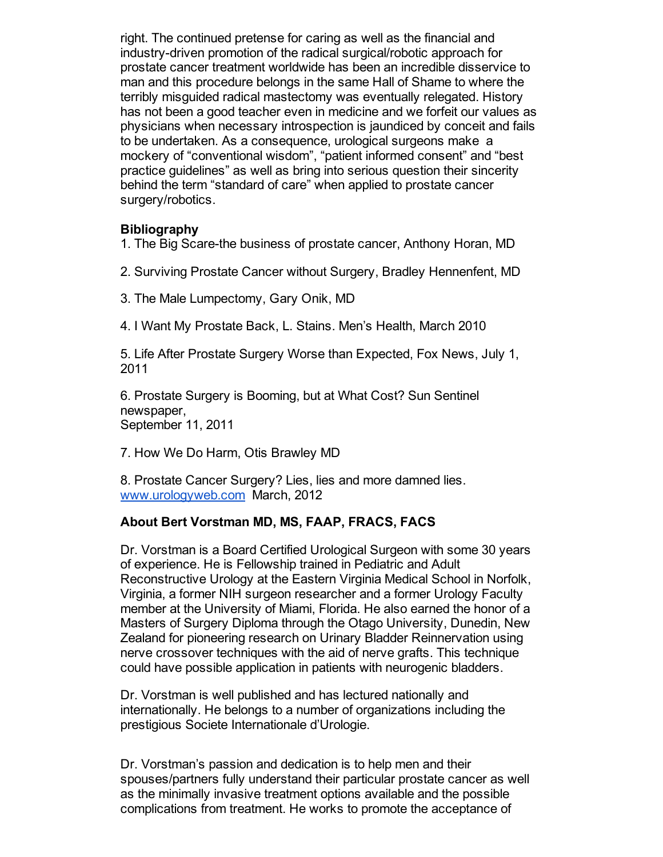right. The continued pretense for caring as well as the financial and industry-driven promotion of the radical surgical/robotic approach for prostate cancer treatment worldwide has been an incredible disservice to man and this procedure belongs in the same Hall of Shame to where the terribly misguided radical mastectomy was eventually relegated. History has not been a good teacher even in medicine and we forfeit our values as physicians when necessary introspection is jaundiced by conceit and fails to be undertaken. As a consequence, urological surgeons make a mockery of "conventional wisdom", "patient informed consent" and "best practice guidelines" as well as bring into serious question their sincerity behind the term "standard of care" when applied to prostate cancer surgery/robotics.

### **Bibliography**

1. The Big Scare-the business of prostate cancer, Anthony Horan, MD

- 2. Surviving Prostate Cancer without Surgery, Bradley Hennenfent, MD
- 3. The Male Lumpectomy, Gary Onik, MD
- 4. I Want My Prostate Back, L. Stains. Men's Health, March 2010

5. Life After Prostate Surgery Worse than Expected, Fox News, July 1, 2011

6. Prostate Surgery is Booming, but at What Cost? Sun Sentinel newspaper, September 11, 2011

7. How We Do Harm, Otis Brawley MD

8. Prostate Cancer Surgery? Lies, lies and more damned lies. [www.urologyweb.com](http://www.urologyweb.com/) March, 2012

# **About Bert Vorstman MD, MS, FAAP, FRACS, FACS**

Dr. Vorstman is a Board Certified Urological Surgeon with some 30 years of experience. He is Fellowship trained in Pediatric and Adult Reconstructive Urology at the Eastern Virginia Medical School in Norfolk, Virginia, a former NIH surgeon researcher and a former Urology Faculty member at the University of Miami, Florida. He also earned the honor of a Masters of Surgery Diploma through the Otago University, Dunedin, New Zealand for pioneering research on Urinary Bladder Reinnervation using nerve crossover techniques with the aid of nerve grafts. This technique could have possible application in patients with neurogenic bladders.

Dr. Vorstman is well published and has lectured nationally and internationally. He belongs to a number of organizations including the prestigious Societe Internationale d'Urologie.

Dr. Vorstman's passion and dedication is to help men and their spouses/partners fully understand their particular prostate cancer as well as the minimally invasive treatment options available and the possible complications from treatment. He works to promote the acceptance of